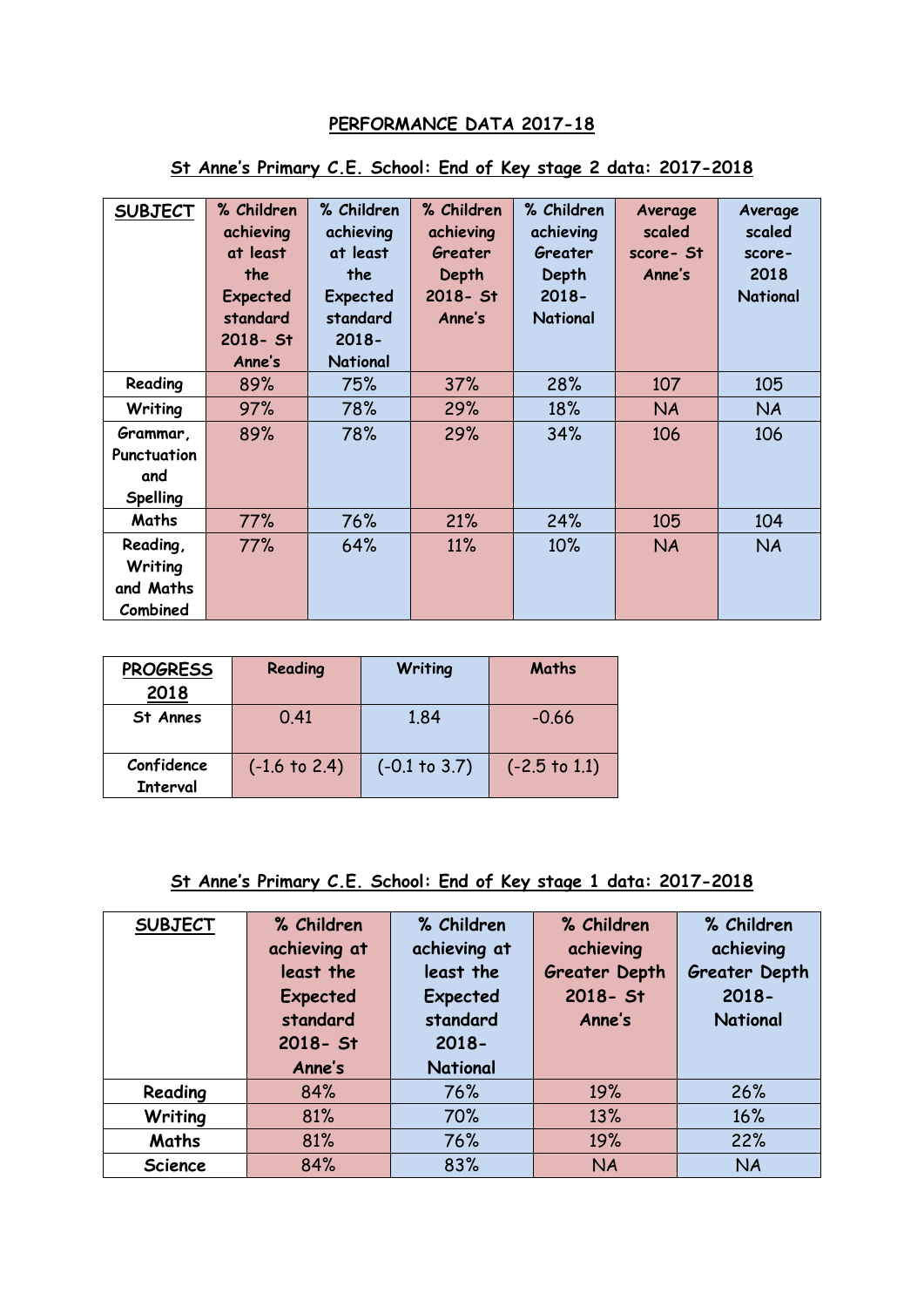#### **PERFORMANCE DATA 2017-18**

### **St Anne's Primary C.E. School: End of Key stage 2 data: 2017-2018**

| <b>SUBJECT</b>                                    | % Children<br>achieving<br>at least<br>the<br><b>Expected</b><br>standard<br>$2018 - 5t$<br>Anne's | % Children<br>achieving<br>at least<br>the<br>Expected<br>standard<br>$2018 -$<br>National | % Children<br>achieving<br>Greater<br>Depth<br>$2018 - 5t$<br>Anne's | % Children<br>achieving<br>Greater<br>Depth<br>$2018 -$<br>National | Average<br>scaled<br>score- St<br>Anne's | Average<br>scaled<br>score-<br>2018<br>National |
|---------------------------------------------------|----------------------------------------------------------------------------------------------------|--------------------------------------------------------------------------------------------|----------------------------------------------------------------------|---------------------------------------------------------------------|------------------------------------------|-------------------------------------------------|
| Reading                                           | 89%                                                                                                | 75%                                                                                        | 37%                                                                  | 28%                                                                 | 107                                      | 105                                             |
| Writing                                           | 97%                                                                                                | 78%                                                                                        | 29%                                                                  | 18%                                                                 | <b>NA</b>                                | <b>NA</b>                                       |
| Grammar,<br>Punctuation<br>and<br><b>Spelling</b> | 89%                                                                                                | 78%                                                                                        | 29%                                                                  | 34%                                                                 | 106                                      | 106                                             |
| Maths                                             | 77%                                                                                                | 76%                                                                                        | 21%                                                                  | 24%                                                                 | 105                                      | 104                                             |
| Reading,<br>Writing<br>and Maths<br>Combined      | 77%                                                                                                | 64%                                                                                        | 11%                                                                  | 10%                                                                 | <b>NA</b>                                | <b>NA</b>                                       |

| <b>PROGRESS</b> | Reading                  | Writing                  | Maths                    |
|-----------------|--------------------------|--------------------------|--------------------------|
| 2018            |                          |                          |                          |
| <b>St Annes</b> | 0.41                     | 1.84                     | $-0.66$                  |
|                 |                          |                          |                          |
| Confidence      | $(-1.6 \text{ to } 2.4)$ | $(-0.1 \text{ to } 3.7)$ | $(-2.5 \text{ to } 1.1)$ |
| Interval        |                          |                          |                          |

### **St Anne's Primary C.E. School: End of Key stage 1 data: 2017-2018**

| <b>SUBJECT</b> | % Children<br>achieving at<br>least the<br>Expected<br>standard<br>$2018 - 5t$<br>Anne's | % Children<br>achieving at<br>least the<br>Expected<br>standard<br>$2018 -$<br>National | % Children<br>achieving<br>Greater Depth<br>$2018 - 5t$<br>Anne's | % Children<br>achieving<br>Greater Depth<br>$2018 -$<br><b>National</b> |
|----------------|------------------------------------------------------------------------------------------|-----------------------------------------------------------------------------------------|-------------------------------------------------------------------|-------------------------------------------------------------------------|
| Reading        | 84%                                                                                      | 76%                                                                                     | 19%                                                               | 26%                                                                     |
| Writing        | 81%                                                                                      | 70%                                                                                     | 13%                                                               | 16%                                                                     |
| Maths          | 81%                                                                                      | 76%                                                                                     | 19%                                                               | 22%                                                                     |
| <b>Science</b> | 84%                                                                                      | 83%                                                                                     | <b>NA</b>                                                         | <b>NA</b>                                                               |